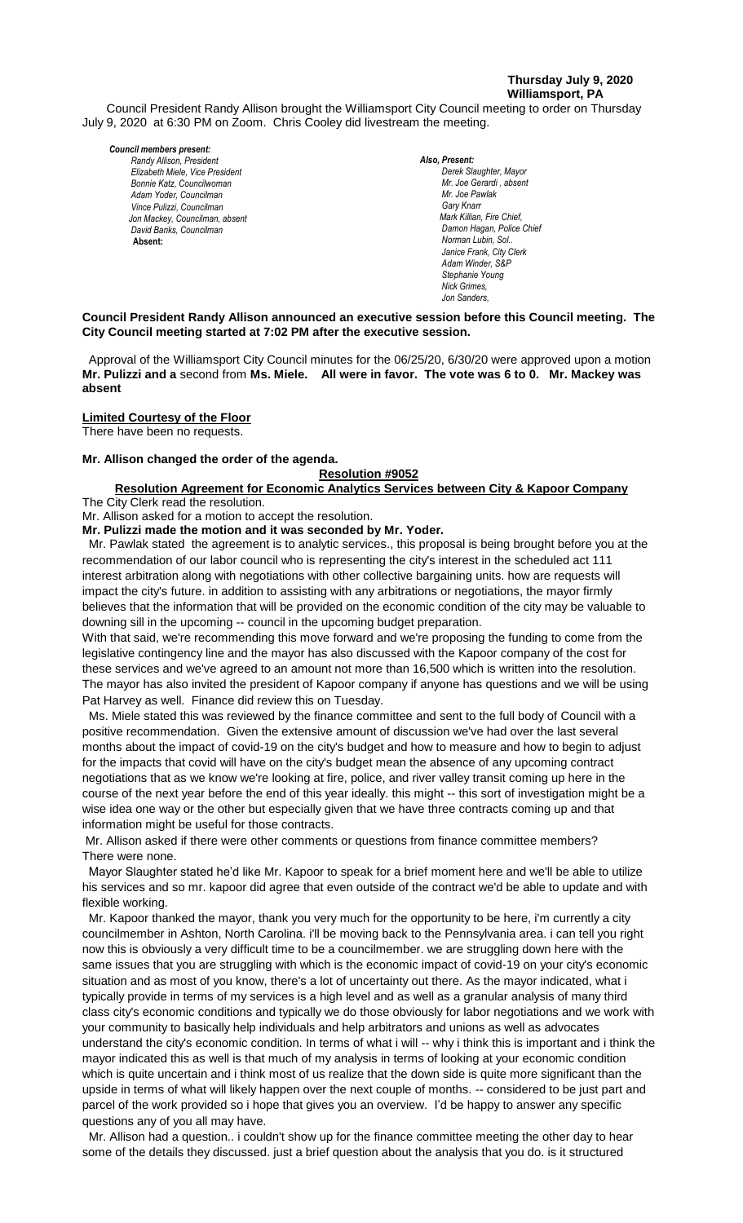# **Thursday July 9, 2020 Williamsport, PA**

Council President Randy Allison brought the Williamsport City Council meeting to order on Thursday July 9, 2020 at 6:30 PM on Zoom. Chris Cooley did livestream the meeting.

#### *Council members present:*

*Randy Allison, President , President Elizabeth Miele, Vice President Bill Hall, Councilman Bonnie Katz, Councilwoman Adam Yoder, Councilman Vince Pulizzi, Councilman Jon Mackey, Councilman, absent David Banks, Councilman*  **Absent:** 

*Also, Present:*  **Derek Slaughter, Mayor** *Mr. Joe Gerardi*, absent *Mr. Joe Pawlak Gary Knarr Mark Killian, Fire Chief,* Damon Hagan, Police Chief *Norman Lubin, Sol.. Janice Frank, City Clerk Adam Winder, S&P Chris Cooley Stephanie Young Nick Grimes, Jon Sanders,* 

# **Council President Randy Allison announced an executive session before this Council meeting. The** *.* **City Council meeting started at 7:02 PM after the executive session.**

 Approval of the Williamsport City Council minutes for the 06/25/20, 6/30/20 were approved upon a motion **Mr. Pulizzi and a** second from **Ms. Miele. All were in favor. The vote was 6 to 0. Mr. Mackey was absent**

# **Limited Courtesy of the Floor**

There have been no requests.

## **Mr. Allison changed the order of the agenda.**

## **Resolution #9052**

#### **Resolution Agreement for Economic Analytics Services between City & Kapoor Company** The City Clerk read the resolution. *Janice Frank, City Clerk, absent*

Mr. Allison asked for a motion to accept the resolution.

**Mr. Pulizzi made the motion and it was seconded by Mr. Yoder.**

 Mr. Pawlak stated the agreement is to analytic services., this proposal is being brought before you at the recommendation of our labor council who is representing the city's interest in the scheduled act 111 interest arbitration along with negotiations with other collective bargaining units. how are requests will impact the city's future. in addition to assisting with any arbitrations or negotiations, the mayor firmly *Members of News Media* believes that the information that will be provided on the economic condition of the city may be valuable to downing sill in the upcoming -- council in the upcoming budget preparation.

With that said, we're recommending this move forward and we're proposing the funding to come from the legislative contingency line and the mayor has also discussed with the Kapoor company of the cost for these services and we've agreed to an amount not more than 16,500 which is written into the resolution. The mayor has also invited the president of Kapoor company if anyone has questions and we will be using Pat Harvey as well. Finance did review this on Tuesday.

 Ms. Miele stated this was reviewed by the finance committee and sent to the full body of Council with a positive recommendation. Given the extensive amount of discussion we've had over the last several months about the impact of covid-19 on the city's budget and how to measure and how to begin to adjust for the impacts that covid will have on the city's budget mean the absence of any upcoming contract negotiations that as we know we're looking at fire, police, and river valley transit coming up here in the course of the next year before the end of this year ideally. this might -- this sort of investigation might be a wise idea one way or the other but especially given that we have three contracts coming up and that information might be useful for those contracts.

Mr. Allison asked if there were other comments or questions from finance committee members? There were none.

 Mayor Slaughter stated he'd like Mr. Kapoor to speak for a brief moment here and we'll be able to utilize his services and so mr. kapoor did agree that even outside of the contract we'd be able to update and with flexible working.

 Mr. Kapoor thanked the mayor, thank you very much for the opportunity to be here, i'm currently a city councilmember in Ashton, North Carolina. i'll be moving back to the Pennsylvania area. i can tell you right now this is obviously a very difficult time to be a councilmember. we are struggling down here with the same issues that you are struggling with which is the economic impact of covid-19 on your city's economic situation and as most of you know, there's a lot of uncertainty out there. As the mayor indicated, what i typically provide in terms of my services is a high level and as well as a granular analysis of many third class city's economic conditions and typically we do those obviously for labor negotiations and we work with your community to basically help individuals and help arbitrators and unions as well as advocates understand the city's economic condition. In terms of what i will -- why i think this is important and i think the mayor indicated this as well is that much of my analysis in terms of looking at your economic condition which is quite uncertain and i think most of us realize that the down side is quite more significant than the upside in terms of what will likely happen over the next couple of months. -- considered to be just part and parcel of the work provided so i hope that gives you an overview. I'd be happy to answer any specific questions any of you all may have.

 Mr. Allison had a question.. i couldn't show up for the finance committee meeting the other day to hear some of the details they discussed. just a brief question about the analysis that you do. is it structured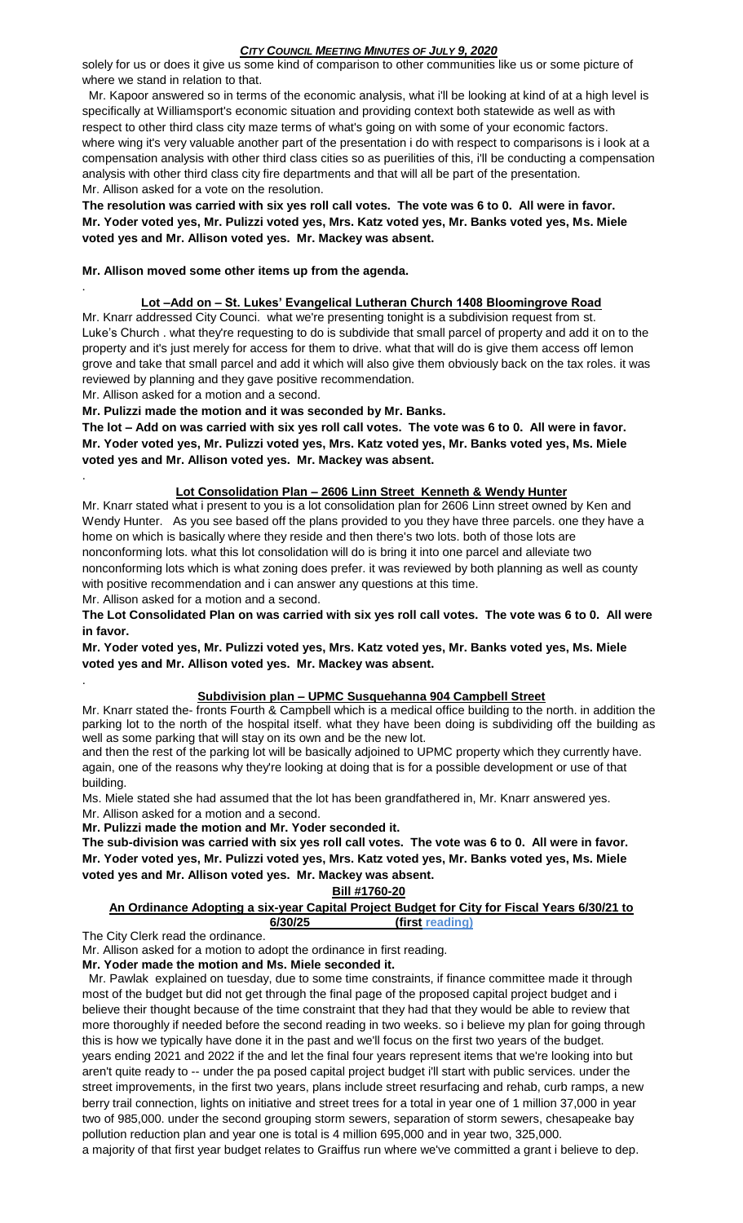solely for us or does it give us some kind of comparison to other communities like us or some picture of where we stand in relation to that.

 Mr. Kapoor answered so in terms of the economic analysis, what i'll be looking at kind of at a high level is specifically at Williamsport's economic situation and providing context both statewide as well as with respect to other third class city maze terms of what's going on with some of your economic factors. where wing it's very valuable another part of the presentation i do with respect to comparisons is i look at a compensation analysis with other third class cities so as puerilities of this, i'll be conducting a compensation analysis with other third class city fire departments and that will all be part of the presentation. Mr. Allison asked for a vote on the resolution.

**The resolution was carried with six yes roll call votes. The vote was 6 to 0. All were in favor. Mr. Yoder voted yes, Mr. Pulizzi voted yes, Mrs. Katz voted yes, Mr. Banks voted yes, Ms. Miele voted yes and Mr. Allison voted yes. Mr. Mackey was absent.**

# **Mr. Allison moved some other items up from the agenda.**

# **Lot –Add on – St. Lukes' Evangelical Lutheran Church 1408 Bloomingrove Road**

Mr. Knarr addressed City Counci. what we're presenting tonight is a subdivision request from st. Luke's Church . what they're requesting to do is subdivide that small parcel of property and add it on to the property and it's just merely for access for them to drive. what that will do is give them access off lemon grove and take that small parcel and add it which will also give them obviously back on the tax roles. it was reviewed by planning and they gave positive recommendation.

Mr. Allison asked for a motion and a second.

.

.

.

**Mr. Pulizzi made the motion and it was seconded by Mr. Banks.**

**The lot – Add on was carried with six yes roll call votes. The vote was 6 to 0. All were in favor. Mr. Yoder voted yes, Mr. Pulizzi voted yes, Mrs. Katz voted yes, Mr. Banks voted yes, Ms. Miele voted yes and Mr. Allison voted yes. Mr. Mackey was absent.**

# **Lot Consolidation Plan – 2606 Linn Street Kenneth & Wendy Hunter**

Mr. Knarr stated what i present to you is a lot consolidation plan for 2606 Linn street owned by Ken and Wendy Hunter. As you see based off the plans provided to you they have three parcels. one they have a home on which is basically where they reside and then there's two lots. both of those lots are nonconforming lots. what this lot consolidation will do is bring it into one parcel and alleviate two nonconforming lots which is what zoning does prefer. it was reviewed by both planning as well as county with positive recommendation and i can answer any questions at this time.

Mr. Allison asked for a motion and a second.

**The Lot Consolidated Plan on was carried with six yes roll call votes. The vote was 6 to 0. All were in favor.**

**Mr. Yoder voted yes, Mr. Pulizzi voted yes, Mrs. Katz voted yes, Mr. Banks voted yes, Ms. Miele voted yes and Mr. Allison voted yes. Mr. Mackey was absent.**

# **Subdivision plan – UPMC Susquehanna 904 Campbell Street**

Mr. Knarr stated the- fronts Fourth & Campbell which is a medical office building to the north. in addition the parking lot to the north of the hospital itself. what they have been doing is subdividing off the building as well as some parking that will stay on its own and be the new lot.

and then the rest of the parking lot will be basically adjoined to UPMC property which they currently have. again, one of the reasons why they're looking at doing that is for a possible development or use of that building.

Ms. Miele stated she had assumed that the lot has been grandfathered in, Mr. Knarr answered yes. Mr. Allison asked for a motion and a second.

**Mr. Pulizzi made the motion and Mr. Yoder seconded it.** 

**The sub-division was carried with six yes roll call votes. The vote was 6 to 0. All were in favor. Mr. Yoder voted yes, Mr. Pulizzi voted yes, Mrs. Katz voted yes, Mr. Banks voted yes, Ms. Miele voted yes and Mr. Allison voted yes. Mr. Mackey was absent.**

**Bill #1760-20**

# **An Ordinance Adopting a six-year Capital Project Budget for City for Fiscal Years 6/30/21 to 6/30/25 (first reading)**

The City Clerk read the ordinance.

Mr. Allison asked for a motion to adopt the ordinance in first reading.

**Mr. Yoder made the motion and Ms. Miele seconded it.**

 Mr. Pawlak explained on tuesday, due to some time constraints, if finance committee made it through most of the budget but did not get through the final page of the proposed capital project budget and i believe their thought because of the time constraint that they had that they would be able to review that more thoroughly if needed before the second reading in two weeks. so i believe my plan for going through this is how we typically have done it in the past and we'll focus on the first two years of the budget. years ending 2021 and 2022 if the and let the final four years represent items that we're looking into but aren't quite ready to -- under the pa posed capital project budget i'll start with public services. under the street improvements, in the first two years, plans include street resurfacing and rehab, curb ramps, a new berry trail connection, lights on initiative and street trees for a total in year one of 1 million 37,000 in year two of 985,000. under the second grouping storm sewers, separation of storm sewers, chesapeake bay pollution reduction plan and year one is total is 4 million 695,000 and in year two, 325,000.

a majority of that first year budget relates to Graiffus run where we've committed a grant i believe to dep.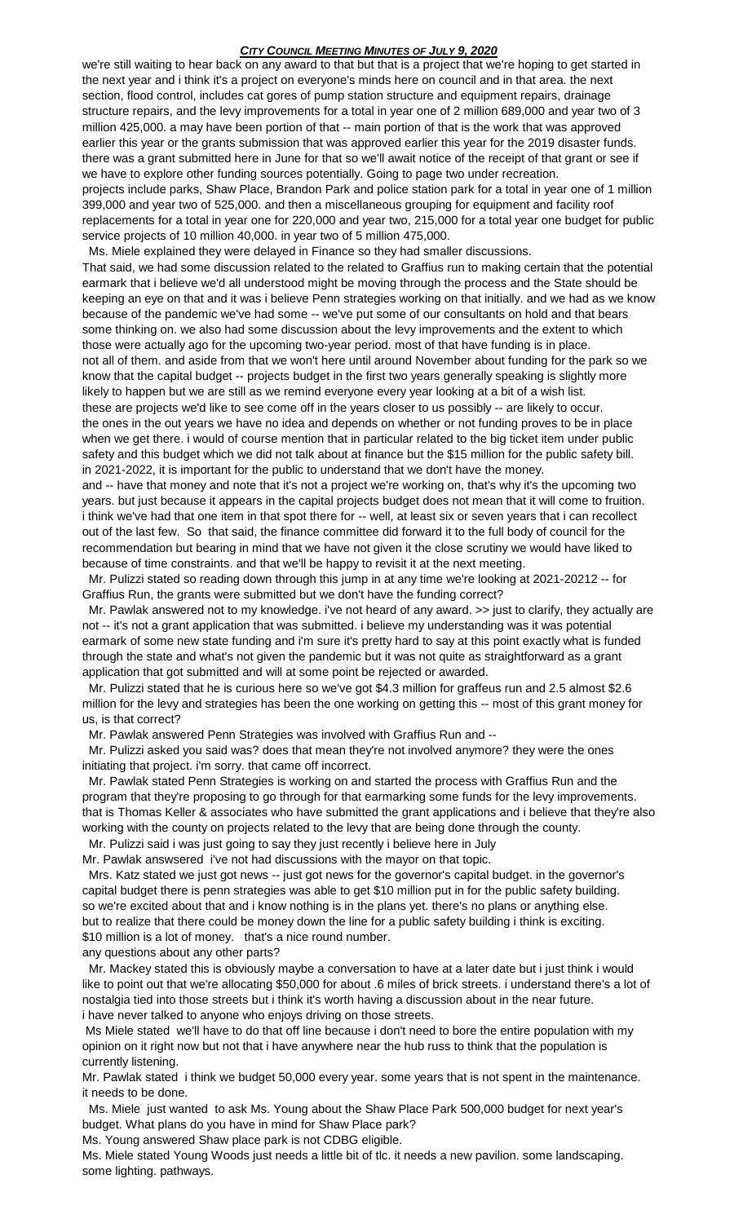we're still waiting to hear back on any award to that but that is a project that we're hoping to get started in the next year and i think it's a project on everyone's minds here on council and in that area. the next section, flood control, includes cat gores of pump station structure and equipment repairs, drainage structure repairs, and the levy improvements for a total in year one of 2 million 689,000 and year two of 3 million 425,000. a may have been portion of that -- main portion of that is the work that was approved earlier this year or the grants submission that was approved earlier this year for the 2019 disaster funds. there was a grant submitted here in June for that so we'll await notice of the receipt of that grant or see if we have to explore other funding sources potentially. Going to page two under recreation. projects include parks, Shaw Place, Brandon Park and police station park for a total in year one of 1 million 399,000 and year two of 525,000. and then a miscellaneous grouping for equipment and facility roof replacements for a total in year one for 220,000 and year two, 215,000 for a total year one budget for public service projects of 10 million 40,000. in year two of 5 million 475,000.

 Ms. Miele explained they were delayed in Finance so they had smaller discussions. That said, we had some discussion related to the related to Graffius run to making certain that the potential earmark that i believe we'd all understood might be moving through the process and the State should be keeping an eye on that and it was i believe Penn strategies working on that initially. and we had as we know because of the pandemic we've had some -- we've put some of our consultants on hold and that bears some thinking on. we also had some discussion about the levy improvements and the extent to which those were actually ago for the upcoming two-year period. most of that have funding is in place. not all of them. and aside from that we won't here until around November about funding for the park so we know that the capital budget -- projects budget in the first two years generally speaking is slightly more likely to happen but we are still as we remind everyone every year looking at a bit of a wish list. these are projects we'd like to see come off in the years closer to us possibly -- are likely to occur. the ones in the out years we have no idea and depends on whether or not funding proves to be in place when we get there. i would of course mention that in particular related to the big ticket item under public safety and this budget which we did not talk about at finance but the \$15 million for the public safety bill. in 2021-2022, it is important for the public to understand that we don't have the money.

and -- have that money and note that it's not a project we're working on, that's why it's the upcoming two years. but just because it appears in the capital projects budget does not mean that it will come to fruition. i think we've had that one item in that spot there for -- well, at least six or seven years that i can recollect out of the last few. So that said, the finance committee did forward it to the full body of council for the recommendation but bearing in mind that we have not given it the close scrutiny we would have liked to because of time constraints. and that we'll be happy to revisit it at the next meeting.

 Mr. Pulizzi stated so reading down through this jump in at any time we're looking at 2021-20212 -- for Graffius Run, the grants were submitted but we don't have the funding correct?

 Mr. Pawlak answered not to my knowledge. i've not heard of any award. >> just to clarify, they actually are not -- it's not a grant application that was submitted. i believe my understanding was it was potential earmark of some new state funding and i'm sure it's pretty hard to say at this point exactly what is funded through the state and what's not given the pandemic but it was not quite as straightforward as a grant application that got submitted and will at some point be rejected or awarded.

 Mr. Pulizzi stated that he is curious here so we've got \$4.3 million for graffeus run and 2.5 almost \$2.6 million for the levy and strategies has been the one working on getting this -- most of this grant money for us, is that correct?

Mr. Pawlak answered Penn Strategies was involved with Graffius Run and --

 Mr. Pulizzi asked you said was? does that mean they're not involved anymore? they were the ones initiating that project. i'm sorry. that came off incorrect.

 Mr. Pawlak stated Penn Strategies is working on and started the process with Graffius Run and the program that they're proposing to go through for that earmarking some funds for the levy improvements. that is Thomas Keller & associates who have submitted the grant applications and i believe that they're also working with the county on projects related to the levy that are being done through the county. Mr. Pulizzi said i was just going to say they just recently i believe here in July

Mr. Pawlak answsered i've not had discussions with the mayor on that topic.

 Mrs. Katz stated we just got news -- just got news for the governor's capital budget. in the governor's capital budget there is penn strategies was able to get \$10 million put in for the public safety building. so we're excited about that and i know nothing is in the plans yet. there's no plans or anything else. but to realize that there could be money down the line for a public safety building i think is exciting. \$10 million is a lot of money. that's a nice round number.

any questions about any other parts?

 Mr. Mackey stated this is obviously maybe a conversation to have at a later date but i just think i would like to point out that we're allocating \$50,000 for about .6 miles of brick streets. i understand there's a lot of nostalgia tied into those streets but i think it's worth having a discussion about in the near future. i have never talked to anyone who enjoys driving on those streets.

Ms Miele stated we'll have to do that off line because i don't need to bore the entire population with my opinion on it right now but not that i have anywhere near the hub russ to think that the population is currently listening.

Mr. Pawlak stated i think we budget 50,000 every year. some years that is not spent in the maintenance. it needs to be done.

 Ms. Miele just wanted to ask Ms. Young about the Shaw Place Park 500,000 budget for next year's budget. What plans do you have in mind for Shaw Place park?

Ms. Young answered Shaw place park is not CDBG eligible.

Ms. Miele stated Young Woods just needs a little bit of tlc. it needs a new pavilion. some landscaping. some lighting. pathways.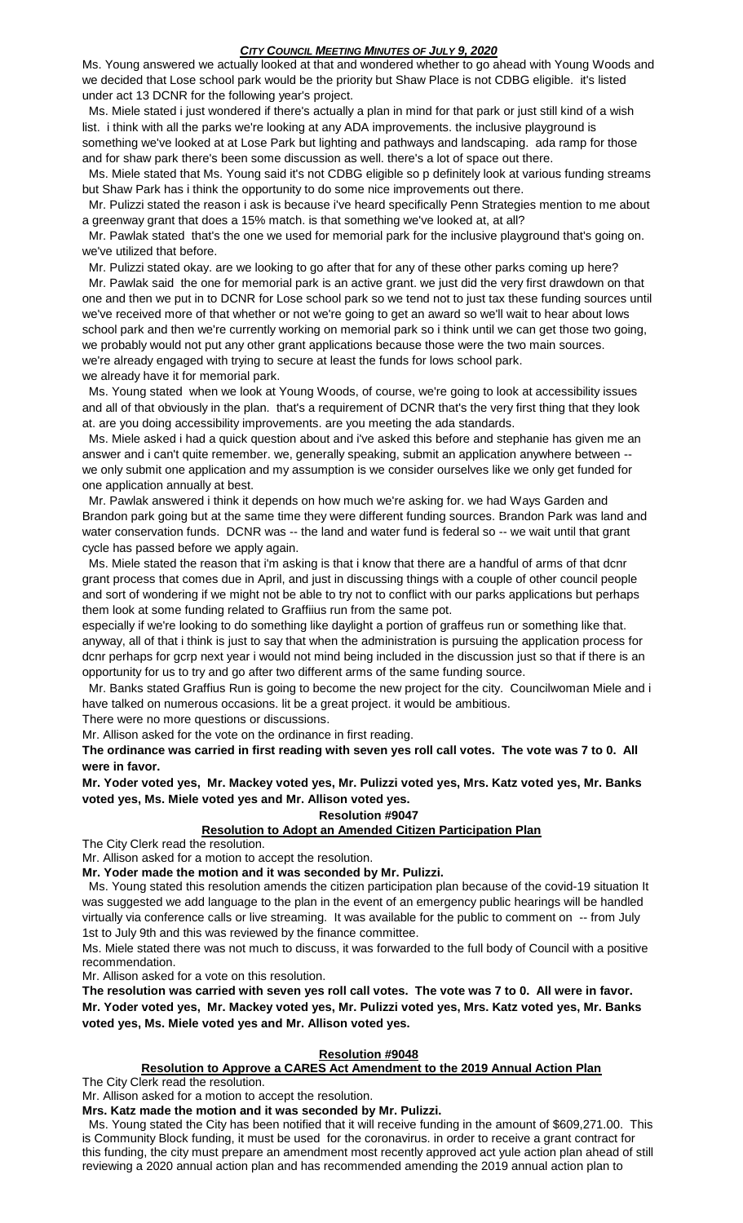Ms. Young answered we actually looked at that and wondered whether to go ahead with Young Woods and we decided that Lose school park would be the priority but Shaw Place is not CDBG eligible. it's listed under act 13 DCNR for the following year's project.

 Ms. Miele stated i just wondered if there's actually a plan in mind for that park or just still kind of a wish list. i think with all the parks we're looking at any ADA improvements. the inclusive playground is something we've looked at at Lose Park but lighting and pathways and landscaping. ada ramp for those and for shaw park there's been some discussion as well. there's a lot of space out there.

 Ms. Miele stated that Ms. Young said it's not CDBG eligible so p definitely look at various funding streams but Shaw Park has i think the opportunity to do some nice improvements out there.

 Mr. Pulizzi stated the reason i ask is because i've heard specifically Penn Strategies mention to me about a greenway grant that does a 15% match. is that something we've looked at, at all?

 Mr. Pawlak stated that's the one we used for memorial park for the inclusive playground that's going on. we've utilized that before.

Mr. Pulizzi stated okay. are we looking to go after that for any of these other parks coming up here?

 Mr. Pawlak said the one for memorial park is an active grant. we just did the very first drawdown on that one and then we put in to DCNR for Lose school park so we tend not to just tax these funding sources until we've received more of that whether or not we're going to get an award so we'll wait to hear about lows school park and then we're currently working on memorial park so i think until we can get those two going, we probably would not put any other grant applications because those were the two main sources. we're already engaged with trying to secure at least the funds for lows school park. we already have it for memorial park.

 Ms. Young stated when we look at Young Woods, of course, we're going to look at accessibility issues and all of that obviously in the plan. that's a requirement of DCNR that's the very first thing that they look at. are you doing accessibility improvements. are you meeting the ada standards.

 Ms. Miele asked i had a quick question about and i've asked this before and stephanie has given me an answer and i can't quite remember. we, generally speaking, submit an application anywhere between we only submit one application and my assumption is we consider ourselves like we only get funded for one application annually at best.

 Mr. Pawlak answered i think it depends on how much we're asking for. we had Ways Garden and Brandon park going but at the same time they were different funding sources. Brandon Park was land and water conservation funds. DCNR was -- the land and water fund is federal so -- we wait until that grant cycle has passed before we apply again.

 Ms. Miele stated the reason that i'm asking is that i know that there are a handful of arms of that dcnr grant process that comes due in April, and just in discussing things with a couple of other council people and sort of wondering if we might not be able to try not to conflict with our parks applications but perhaps them look at some funding related to Graffiius run from the same pot.

especially if we're looking to do something like daylight a portion of graffeus run or something like that. anyway, all of that i think is just to say that when the administration is pursuing the application process for dcnr perhaps for gcrp next year i would not mind being included in the discussion just so that if there is an opportunity for us to try and go after two different arms of the same funding source.

 Mr. Banks stated Graffius Run is going to become the new project for the city. Councilwoman Miele and i have talked on numerous occasions. lit be a great project. it would be ambitious.

There were no more questions or discussions.

Mr. Allison asked for the vote on the ordinance in first reading.

**The ordinance was carried in first reading with seven yes roll call votes. The vote was 7 to 0. All were in favor.**

**Mr. Yoder voted yes, Mr. Mackey voted yes, Mr. Pulizzi voted yes, Mrs. Katz voted yes, Mr. Banks voted yes, Ms. Miele voted yes and Mr. Allison voted yes.** 

### **Resolution #9047**

### **Resolution to Adopt an Amended Citizen Participation Plan**

The City Clerk read the resolution.

Mr. Allison asked for a motion to accept the resolution.

**Mr. Yoder made the motion and it was seconded by Mr. Pulizzi.**

 Ms. Young stated this resolution amends the citizen participation plan because of the covid-19 situation It was suggested we add language to the plan in the event of an emergency public hearings will be handled virtually via conference calls or live streaming. It was available for the public to comment on -- from July 1st to July 9th and this was reviewed by the finance committee.

Ms. Miele stated there was not much to discuss, it was forwarded to the full body of Council with a positive recommendation.

Mr. Allison asked for a vote on this resolution.

**The resolution was carried with seven yes roll call votes. The vote was 7 to 0. All were in favor. Mr. Yoder voted yes, Mr. Mackey voted yes, Mr. Pulizzi voted yes, Mrs. Katz voted yes, Mr. Banks voted yes, Ms. Miele voted yes and Mr. Allison voted yes.** 

# **Resolution #9048**

# **Resolution to Approve a CARES Act Amendment to the 2019 Annual Action Plan**

The City Clerk read the resolution.

Mr. Allison asked for a motion to accept the resolution.

**Mrs. Katz made the motion and it was seconded by Mr. Pulizzi.**

 Ms. Young stated the City has been notified that it will receive funding in the amount of \$609,271.00. This is Community Block funding, it must be used for the coronavirus. in order to receive a grant contract for this funding, the city must prepare an amendment most recently approved act yule action plan ahead of still reviewing a 2020 annual action plan and has recommended amending the 2019 annual action plan to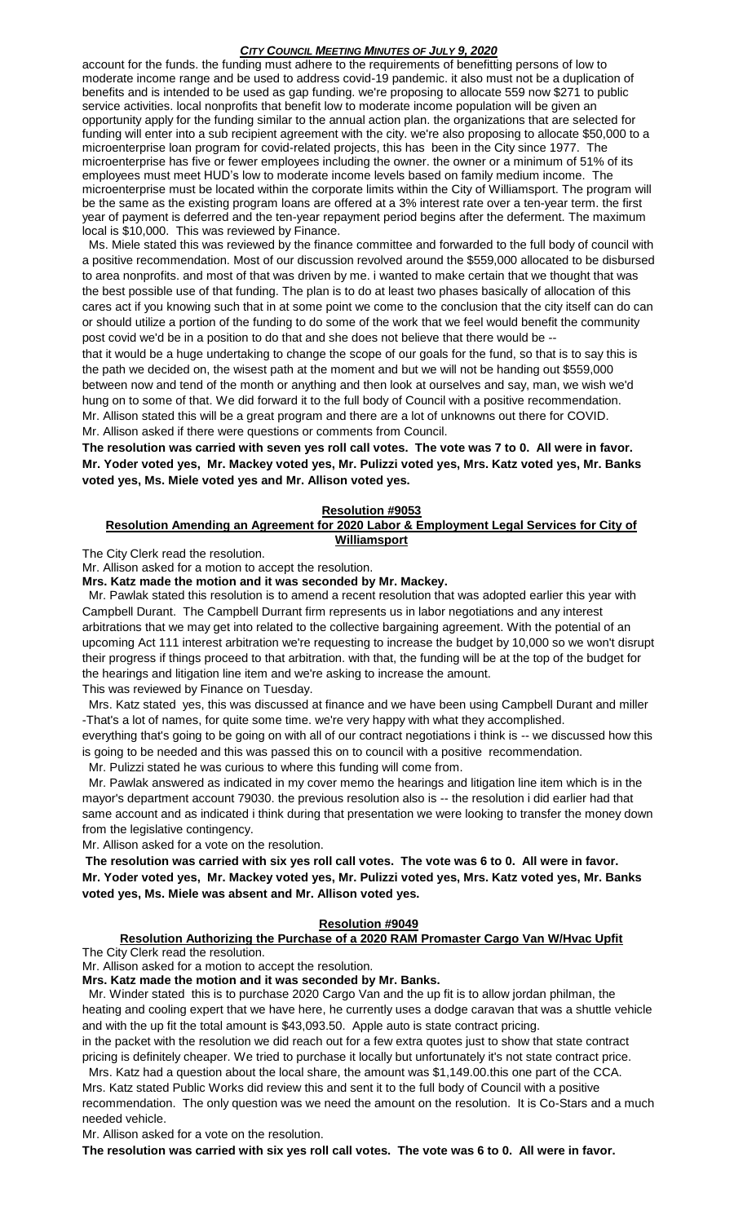account for the funds. the funding must adhere to the requirements of benefitting persons of low to moderate income range and be used to address covid-19 pandemic. it also must not be a duplication of benefits and is intended to be used as gap funding. we're proposing to allocate 559 now \$271 to public service activities. local nonprofits that benefit low to moderate income population will be given an opportunity apply for the funding similar to the annual action plan. the organizations that are selected for funding will enter into a sub recipient agreement with the city. we're also proposing to allocate \$50,000 to a microenterprise loan program for covid-related projects, this has been in the City since 1977. The microenterprise has five or fewer employees including the owner. the owner or a minimum of 51% of its employees must meet HUD's low to moderate income levels based on family medium income. The microenterprise must be located within the corporate limits within the City of Williamsport. The program will be the same as the existing program loans are offered at a 3% interest rate over a ten-year term. the first year of payment is deferred and the ten-year repayment period begins after the deferment. The maximum local is \$10,000. This was reviewed by Finance.

 Ms. Miele stated this was reviewed by the finance committee and forwarded to the full body of council with a positive recommendation. Most of our discussion revolved around the \$559,000 allocated to be disbursed to area nonprofits. and most of that was driven by me. i wanted to make certain that we thought that was the best possible use of that funding. The plan is to do at least two phases basically of allocation of this cares act if you knowing such that in at some point we come to the conclusion that the city itself can do can or should utilize a portion of the funding to do some of the work that we feel would benefit the community post covid we'd be in a position to do that and she does not believe that there would be --

that it would be a huge undertaking to change the scope of our goals for the fund, so that is to say this is the path we decided on, the wisest path at the moment and but we will not be handing out \$559,000 between now and tend of the month or anything and then look at ourselves and say, man, we wish we'd hung on to some of that. We did forward it to the full body of Council with a positive recommendation. Mr. Allison stated this will be a great program and there are a lot of unknowns out there for COVID. Mr. Allison asked if there were questions or comments from Council.

**The resolution was carried with seven yes roll call votes. The vote was 7 to 0. All were in favor. Mr. Yoder voted yes, Mr. Mackey voted yes, Mr. Pulizzi voted yes, Mrs. Katz voted yes, Mr. Banks voted yes, Ms. Miele voted yes and Mr. Allison voted yes.** 

# **Resolution #9053**

## **Resolution Amending an Agreement for 2020 Labor & Employment Legal Services for City of Williamsport**

The City Clerk read the resolution.

Mr. Allison asked for a motion to accept the resolution.

**Mrs. Katz made the motion and it was seconded by Mr. Mackey.**

 Mr. Pawlak stated this resolution is to amend a recent resolution that was adopted earlier this year with Campbell Durant. The Campbell Durrant firm represents us in labor negotiations and any interest arbitrations that we may get into related to the collective bargaining agreement. With the potential of an upcoming Act 111 interest arbitration we're requesting to increase the budget by 10,000 so we won't disrupt their progress if things proceed to that arbitration. with that, the funding will be at the top of the budget for the hearings and litigation line item and we're asking to increase the amount.

This was reviewed by Finance on Tuesday.

 Mrs. Katz stated yes, this was discussed at finance and we have been using Campbell Durant and miller -That's a lot of names, for quite some time. we're very happy with what they accomplished.

everything that's going to be going on with all of our contract negotiations i think is -- we discussed how this is going to be needed and this was passed this on to council with a positive recommendation.

Mr. Pulizzi stated he was curious to where this funding will come from.

 Mr. Pawlak answered as indicated in my cover memo the hearings and litigation line item which is in the mayor's department account 79030. the previous resolution also is -- the resolution i did earlier had that same account and as indicated i think during that presentation we were looking to transfer the money down from the legislative contingency.

Mr. Allison asked for a vote on the resolution.

**The resolution was carried with six yes roll call votes. The vote was 6 to 0. All were in favor. Mr. Yoder voted yes, Mr. Mackey voted yes, Mr. Pulizzi voted yes, Mrs. Katz voted yes, Mr. Banks voted yes, Ms. Miele was absent and Mr. Allison voted yes.** 

# **Resolution #9049**

# **Resolution Authorizing the Purchase of a 2020 RAM Promaster Cargo Van W/Hvac Upfit**

The City Clerk read the resolution.

Mr. Allison asked for a motion to accept the resolution.

# **Mrs. Katz made the motion and it was seconded by Mr. Banks.**

 Mr. Winder stated this is to purchase 2020 Cargo Van and the up fit is to allow jordan philman, the heating and cooling expert that we have here, he currently uses a dodge caravan that was a shuttle vehicle and with the up fit the total amount is \$43,093.50. Apple auto is state contract pricing.

in the packet with the resolution we did reach out for a few extra quotes just to show that state contract pricing is definitely cheaper. We tried to purchase it locally but unfortunately it's not state contract price. Mrs. Katz had a question about the local share, the amount was \$1,149.00.this one part of the CCA.

Mrs. Katz stated Public Works did review this and sent it to the full body of Council with a positive recommendation. The only question was we need the amount on the resolution. It is Co-Stars and a much needed vehicle.

Mr. Allison asked for a vote on the resolution.

**The resolution was carried with six yes roll call votes. The vote was 6 to 0. All were in favor.**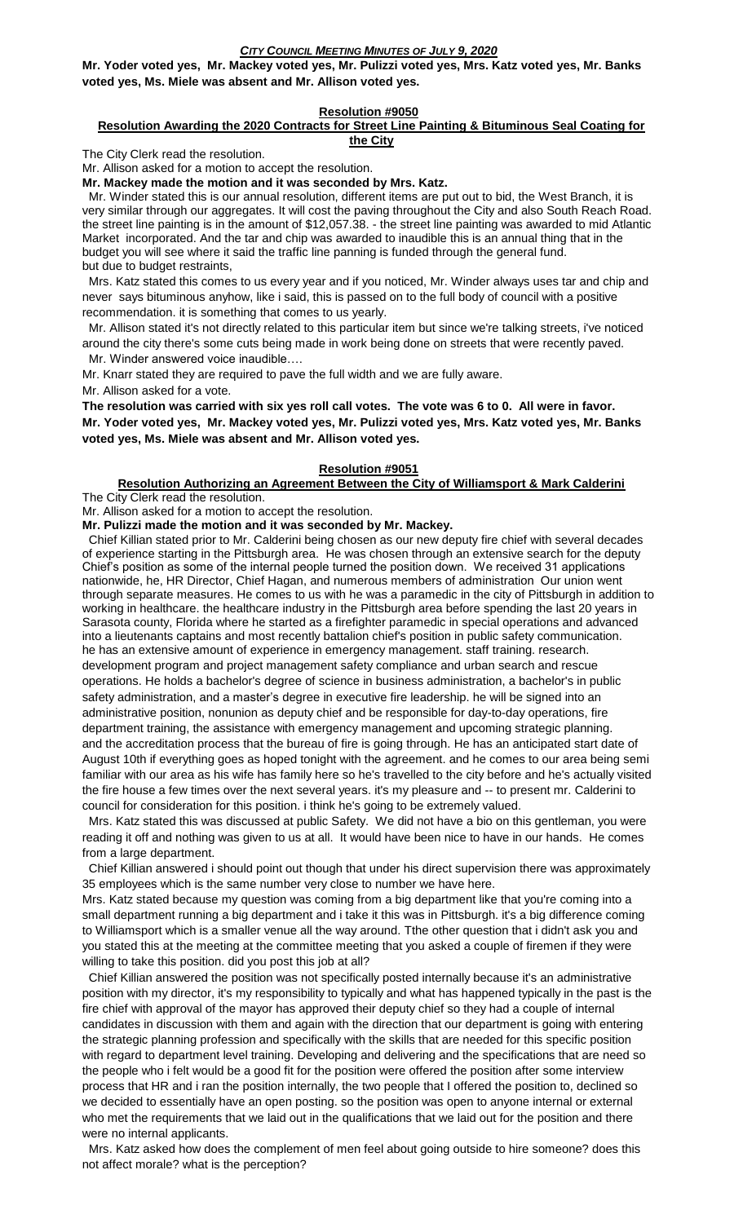**Mr. Yoder voted yes, Mr. Mackey voted yes, Mr. Pulizzi voted yes, Mrs. Katz voted yes, Mr. Banks voted yes, Ms. Miele was absent and Mr. Allison voted yes.** 

# **Resolution #9050**

#### **Resolution Awarding the 2020 Contracts for Street Line Painting & Bituminous Seal Coating for the City**

The City Clerk read the resolution.

Mr. Allison asked for a motion to accept the resolution.

**Mr. Mackey made the motion and it was seconded by Mrs. Katz.**

 Mr. Winder stated this is our annual resolution, different items are put out to bid, the West Branch, it is very similar through our aggregates. It will cost the paving throughout the City and also South Reach Road. the street line painting is in the amount of \$12,057.38. - the street line painting was awarded to mid Atlantic Market incorporated. And the tar and chip was awarded to inaudible this is an annual thing that in the budget you will see where it said the traffic line panning is funded through the general fund. but due to budget restraints,

 Mrs. Katz stated this comes to us every year and if you noticed, Mr. Winder always uses tar and chip and never says bituminous anyhow, like i said, this is passed on to the full body of council with a positive recommendation. it is something that comes to us yearly.

 Mr. Allison stated it's not directly related to this particular item but since we're talking streets, i've noticed around the city there's some cuts being made in work being done on streets that were recently paved. Mr. Winder answered voice inaudible….

Mr. Knarr stated they are required to pave the full width and we are fully aware.

Mr. Allison asked for a vote.

**The resolution was carried with six yes roll call votes. The vote was 6 to 0. All were in favor. Mr. Yoder voted yes, Mr. Mackey voted yes, Mr. Pulizzi voted yes, Mrs. Katz voted yes, Mr. Banks voted yes, Ms. Miele was absent and Mr. Allison voted yes.** 

### **Resolution #9051**

**Resolution Authorizing an Agreement Between the City of Williamsport & Mark Calderini** The City Clerk read the resolution.

Mr. Allison asked for a motion to accept the resolution.

**Mr. Pulizzi made the motion and it was seconded by Mr. Mackey.**

 Chief Killian stated prior to Mr. Calderini being chosen as our new deputy fire chief with several decades of experience starting in the Pittsburgh area. He was chosen through an extensive search for the deputy Chief's position as some of the internal people turned the position down. We received 31 applications nationwide, he, HR Director, Chief Hagan, and numerous members of administration Our union went through separate measures. He comes to us with he was a paramedic in the city of Pittsburgh in addition to working in healthcare. the healthcare industry in the Pittsburgh area before spending the last 20 years in Sarasota county, Florida where he started as a firefighter paramedic in special operations and advanced into a lieutenants captains and most recently battalion chief's position in public safety communication. he has an extensive amount of experience in emergency management. staff training. research. development program and project management safety compliance and urban search and rescue operations. He holds a bachelor's degree of science in business administration, a bachelor's in public safety administration, and a master's degree in executive fire leadership. he will be signed into an administrative position, nonunion as deputy chief and be responsible for day-to-day operations, fire department training, the assistance with emergency management and upcoming strategic planning. and the accreditation process that the bureau of fire is going through. He has an anticipated start date of August 10th if everything goes as hoped tonight with the agreement. and he comes to our area being semi familiar with our area as his wife has family here so he's travelled to the city before and he's actually visited the fire house a few times over the next several years. it's my pleasure and -- to present mr. Calderini to council for consideration for this position. i think he's going to be extremely valued.

 Mrs. Katz stated this was discussed at public Safety. We did not have a bio on this gentleman, you were reading it off and nothing was given to us at all. It would have been nice to have in our hands. He comes from a large department.

 Chief Killian answered i should point out though that under his direct supervision there was approximately 35 employees which is the same number very close to number we have here.

Mrs. Katz stated because my question was coming from a big department like that you're coming into a small department running a big department and i take it this was in Pittsburgh. it's a big difference coming to Williamsport which is a smaller venue all the way around. Tthe other question that i didn't ask you and you stated this at the meeting at the committee meeting that you asked a couple of firemen if they were willing to take this position. did you post this job at all?

 Chief Killian answered the position was not specifically posted internally because it's an administrative position with my director, it's my responsibility to typically and what has happened typically in the past is the fire chief with approval of the mayor has approved their deputy chief so they had a couple of internal candidates in discussion with them and again with the direction that our department is going with entering the strategic planning profession and specifically with the skills that are needed for this specific position with regard to department level training. Developing and delivering and the specifications that are need so the people who i felt would be a good fit for the position were offered the position after some interview process that HR and i ran the position internally, the two people that I offered the position to, declined so we decided to essentially have an open posting. so the position was open to anyone internal or external who met the requirements that we laid out in the qualifications that we laid out for the position and there were no internal applicants.

 Mrs. Katz asked how does the complement of men feel about going outside to hire someone? does this not affect morale? what is the perception?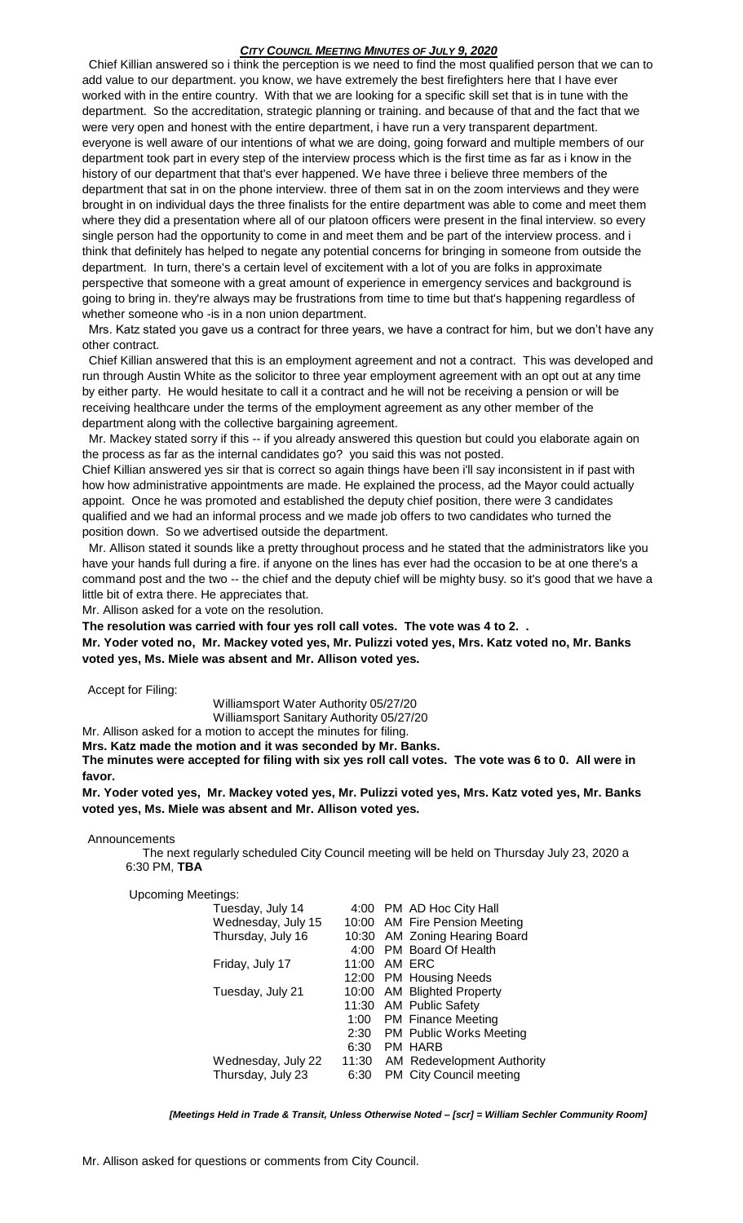Chief Killian answered so i think the perception is we need to find the most qualified person that we can to add value to our department. you know, we have extremely the best firefighters here that I have ever worked with in the entire country. With that we are looking for a specific skill set that is in tune with the department. So the accreditation, strategic planning or training. and because of that and the fact that we were very open and honest with the entire department, i have run a very transparent department. everyone is well aware of our intentions of what we are doing, going forward and multiple members of our department took part in every step of the interview process which is the first time as far as i know in the history of our department that that's ever happened. We have three i believe three members of the department that sat in on the phone interview. three of them sat in on the zoom interviews and they were brought in on individual days the three finalists for the entire department was able to come and meet them where they did a presentation where all of our platoon officers were present in the final interview. so every single person had the opportunity to come in and meet them and be part of the interview process. and i think that definitely has helped to negate any potential concerns for bringing in someone from outside the department. In turn, there's a certain level of excitement with a lot of you are folks in approximate perspective that someone with a great amount of experience in emergency services and background is going to bring in. they're always may be frustrations from time to time but that's happening regardless of whether someone who -is in a non union department.

 Mrs. Katz stated you gave us a contract for three years, we have a contract for him, but we don't have any other contract.

 Chief Killian answered that this is an employment agreement and not a contract. This was developed and run through Austin White as the solicitor to three year employment agreement with an opt out at any time by either party. He would hesitate to call it a contract and he will not be receiving a pension or will be receiving healthcare under the terms of the employment agreement as any other member of the department along with the collective bargaining agreement.

 Mr. Mackey stated sorry if this -- if you already answered this question but could you elaborate again on the process as far as the internal candidates go? you said this was not posted.

Chief Killian answered yes sir that is correct so again things have been i'll say inconsistent in if past with how how administrative appointments are made. He explained the process, ad the Mayor could actually appoint. Once he was promoted and established the deputy chief position, there were 3 candidates qualified and we had an informal process and we made job offers to two candidates who turned the position down. So we advertised outside the department.

 Mr. Allison stated it sounds like a pretty throughout process and he stated that the administrators like you have your hands full during a fire. if anyone on the lines has ever had the occasion to be at one there's a command post and the two -- the chief and the deputy chief will be mighty busy. so it's good that we have a little bit of extra there. He appreciates that.

Mr. Allison asked for a vote on the resolution.

**The resolution was carried with four yes roll call votes. The vote was 4 to 2. .**

**Mr. Yoder voted no, Mr. Mackey voted yes, Mr. Pulizzi voted yes, Mrs. Katz voted no, Mr. Banks voted yes, Ms. Miele was absent and Mr. Allison voted yes.** 

Accept for Filing:

Williamsport Water Authority 05/27/20

Williamsport Sanitary Authority 05/27/20

Mr. Allison asked for a motion to accept the minutes for filing. **Mrs. Katz made the motion and it was seconded by Mr. Banks.** 

**The minutes were accepted for filing with six yes roll call votes. The vote was 6 to 0. All were in favor.**

**Mr. Yoder voted yes, Mr. Mackey voted yes, Mr. Pulizzi voted yes, Mrs. Katz voted yes, Mr. Banks voted yes, Ms. Miele was absent and Mr. Allison voted yes.** 

Announcements

 The next regularly scheduled City Council meeting will be held on Thursday July 23, 2020 a 6:30 PM, **TBA**

Upcoming Meetings:

| Tuesday, July 14   |              | 4:00 PM AD Hoc City Hall         |
|--------------------|--------------|----------------------------------|
| Wednesday, July 15 |              | 10:00 AM Fire Pension Meeting    |
| Thursday, July 16  |              | 10:30 AM Zoning Hearing Board    |
|                    |              | 4:00 PM Board Of Health          |
| Friday, July 17    | 11:00 AM ERC |                                  |
|                    |              | 12:00 PM Housing Needs           |
| Tuesday, July 21   |              | 10:00 AM Blighted Property       |
|                    |              | 11:30 AM Public Safety           |
|                    |              | 1:00 PM Finance Meeting          |
|                    |              | 2:30 PM Public Works Meeting     |
|                    | 6:30         | PM HARB                          |
| Wednesday, July 22 |              | 11:30 AM Redevelopment Authority |
| Thursday, July 23  | 6:30         | PM City Council meeting          |
|                    |              |                                  |

*[Meetings Held in Trade & Transit, Unless Otherwise Noted – [scr] = William Sechler Community Room]*